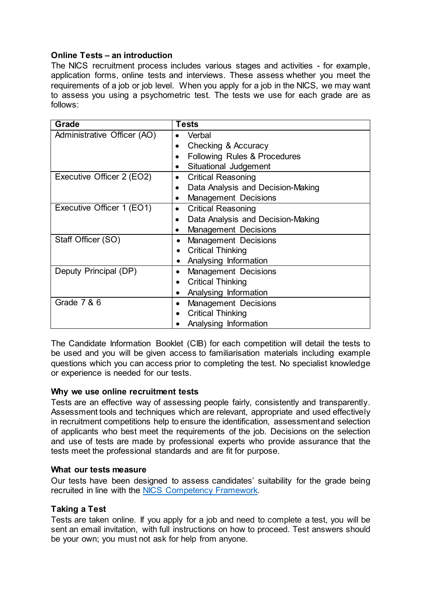# **Online Tests – an introduction**

The NICS recruitment process includes various stages and activities - for example, application forms, online tests and interviews. These assess whether you meet the requirements of a job or job level. When you apply for a job in the NICS, we may want to assess you using a psychometric test. The tests we use for each grade are as follows:

| Grade                       | <b>Tests</b>                                   |
|-----------------------------|------------------------------------------------|
| Administrative Officer (AO) | Verbal                                         |
|                             | Checking & Accuracy                            |
|                             | Following Rules & Procedures<br>٠              |
|                             | Situational Judgement                          |
| Executive Officer 2 (EO2)   | <b>Critical Reasoning</b><br>٠                 |
|                             | Data Analysis and Decision-Making<br>$\bullet$ |
|                             | <b>Management Decisions</b><br>٠               |
| Executive Officer 1 (EO1)   | <b>Critical Reasoning</b><br>$\bullet$         |
|                             | Data Analysis and Decision-Making<br>$\bullet$ |
|                             | <b>Management Decisions</b>                    |
| Staff Officer (SO)          | <b>Management Decisions</b>                    |
|                             | <b>Critical Thinking</b>                       |
|                             | Analysing Information                          |
| Deputy Principal (DP)       | <b>Management Decisions</b>                    |
|                             | <b>Critical Thinking</b>                       |
|                             | Analysing Information                          |
| Grade 7 & 6                 | <b>Management Decisions</b>                    |
|                             | <b>Critical Thinking</b>                       |
|                             | Analysing Information                          |

The Candidate Information Booklet (CIB) for each competition will detail the tests to be used and you will be given access to familiarisation materials including example questions which you can access prior to completing the test. No specialist knowledge or experience is needed for our tests.

# **Why we use online recruitment tests**

Tests are an effective way of assessing people fairly, consistently and transparently. Assessment tools and techniques which are relevant, appropriate and used effectively in recruitment competitions help to ensure the identification, assessment and selection of applicants who best meet the requirements of the job. Decisions on the selection and use of tests are made by professional experts who provide assurance that the tests meet the professional standards and are fit for purpose.

# **What our tests measure**

Our tests have been designed to assess candidates' suitability for the grade being recruited in line with the [NICS Competency Framework.](https://irecruit-ext.hrconnect.nigov.net/pages/content.aspx?Page=NICS-Competency-Framework)

# **Taking a Test**

Tests are taken online. If you apply for a job and need to complete a test, you will be sent an email invitation, with full instructions on how to proceed. Test answers should be your own; you must not ask for help from anyone.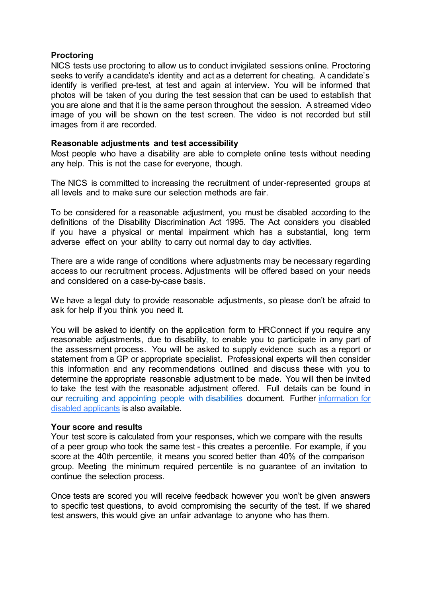### **Proctoring**

NICS tests use proctoring to allow us to conduct invigilated sessions online. Proctoring seeks to verify a candidate's identity and act as a deterrent for cheating. A candidate's identify is verified pre-test, at test and again at interview. You will be informed that photos will be taken of you during the test session that can be used to establish that you are alone and that it is the same person throughout the session. A streamed video image of you will be shown on the test screen. The video is not recorded but still images from it are recorded.

### **Reasonable adjustments and test accessibility**

Most people who have a disability are able to complete online tests without needing any help. This is not the case for everyone, though.

The NICS is committed to increasing the recruitment of under-represented groups at all levels and to make sure our selection methods are fair.

To be considered for a reasonable adjustment, you must be disabled according to the definitions of the Disability Discrimination Act 1995. The Act considers you disabled if you have a physical or mental impairment which has a substantial, long term adverse effect on your ability to carry out normal day to day activities.

There are a wide range of conditions where adjustments may be necessary regarding access to our recruitment process. Adjustments will be offered based on your needs and considered on a case-by-case basis.

We have a legal duty to provide reasonable adjustments, so please don't be afraid to ask for help if you think you need it.

You will be asked to identify on the application form to HRConnect if you require any reasonable adjustments, due to disability, to enable you to participate in any part of the assessment process. You will be asked to supply evidence such as a report or statement from a GP or appropriate specialist. Professional experts will then consider this information and any recommendations outlined and discuss these with you to determine the appropriate reasonable adjustment to be made. You will then be invited to take the test with the reasonable adjustment offered. Full details can be found in our recruiting and [appointing people with](https://irecruit-ext.hrconnect.nigov.net/resources/documents/r/e/c/recruiting-and-appointing-people-with-disabilities-2019.pdf) disabilities document. Further information for [disabled applicants is also available.](https://irecruit-ext.hrconnect.nigov.net/pages/content.aspx?Page=Information-for-Disabled-Applicants-)

### **Your score and results**

Your test score is calculated from your responses, which we compare with the results of a peer group who took the same test - this creates a percentile. For example, if you score at the 40th percentile, it means you scored better than 40% of the comparison group. Meeting the minimum required percentile is no guarantee of an invitation to continue the selection process.

Once tests are scored you will receive feedback however you won't be given answers to specific test questions, to avoid compromising the security of the test. If we shared test answers, this would give an unfair advantage to anyone who has them.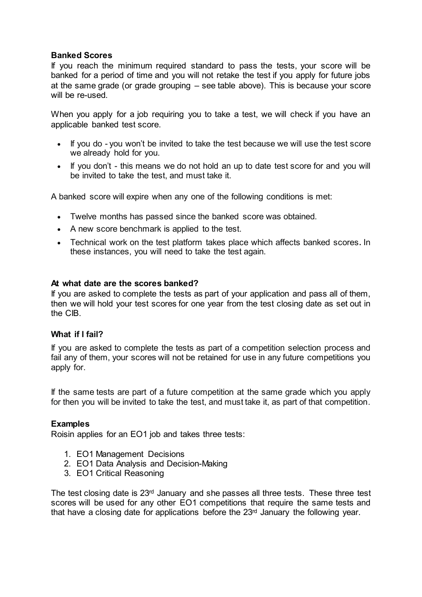# **Banked Scores**

If you reach the minimum required standard to pass the tests, your score will be banked for a period of time and you will not retake the test if you apply for future jobs at the same grade (or grade grouping – see table above). This is because your score will be re-used.

When you apply for a job requiring you to take a test, we will check if you have an applicable banked test score.

- If you do you won't be invited to take the test because we will use the test score we already hold for you.
- If you don't this means we do not hold an up to date test score for and you will be invited to take the test, and must take it.

A banked score will expire when any one of the following conditions is met:

- Twelve months has passed since the banked score was obtained.
- A new score benchmark is applied to the test.
- Technical work on the test platform takes place which affects banked scores. In these instances, you will need to take the test again.

# **At what date are the scores banked?**

If you are asked to complete the tests as part of your application and pass all of them, then we will hold your test scores for one year from the test closing date as set out in the CIB.

# **What if I fail?**

If you are asked to complete the tests as part of a competition selection process and fail any of them, your scores will not be retained for use in any future competitions you apply for.

If the same tests are part of a future competition at the same grade which you apply for then you will be invited to take the test, and must take it, as part of that competition.

# **Examples**

Roisin applies for an EO1 job and takes three tests:

- 1. EO1 Management Decisions
- 2. EO1 Data Analysis and Decision-Making
- 3. EO1 Critical Reasoning

The test closing date is 23rd January and she passes all three tests. These three test scores will be used for any other EO1 competitions that require the same tests and that have a closing date for applications before the  $23<sup>rd</sup>$  January the following year.